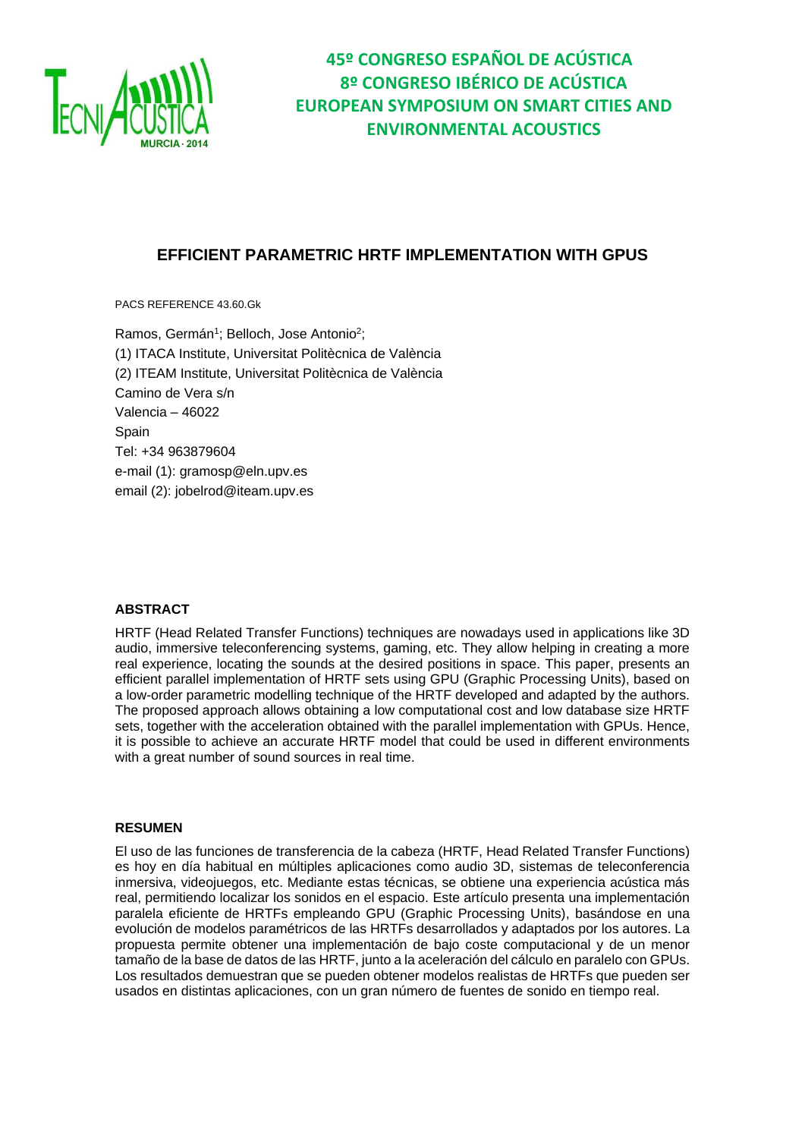

### **EFFICIENT PARAMETRIC HRTF IMPLEMENTATION WITH GPUS**

PACS REFERENCE 43.60.Gk

Ramos, Germán<sup>1</sup>; Belloch, Jose Antonio<sup>2</sup>; (1) ITACA Institute, Universitat Politècnica de València (2) ITEAM Institute, Universitat Politècnica de València Camino de Vera s/n Valencia – 46022 Spain Tel: +34 963879604 e-mail (1): gramosp@eln.upv.es email (2): jobelrod@iteam.upv.es

#### **ABSTRACT**

HRTF (Head Related Transfer Functions) techniques are nowadays used in applications like 3D audio, immersive teleconferencing systems, gaming, etc. They allow helping in creating a more real experience, locating the sounds at the desired positions in space. This paper, presents an efficient parallel implementation of HRTF sets using GPU (Graphic Processing Units), based on a low-order parametric modelling technique of the HRTF developed and adapted by the authors. The proposed approach allows obtaining a low computational cost and low database size HRTF sets, together with the acceleration obtained with the parallel implementation with GPUs. Hence, it is possible to achieve an accurate HRTF model that could be used in different environments with a great number of sound sources in real time.

#### **RESUMEN**

El uso de las funciones de transferencia de la cabeza (HRTF, Head Related Transfer Functions) es hoy en día habitual en múltiples aplicaciones como audio 3D, sistemas de teleconferencia inmersiva, videojuegos, etc. Mediante estas técnicas, se obtiene una experiencia acústica más real, permitiendo localizar los sonidos en el espacio. Este artículo presenta una implementación paralela eficiente de HRTFs empleando GPU (Graphic Processing Units), basándose en una evolución de modelos paramétricos de las HRTFs desarrollados y adaptados por los autores. La propuesta permite obtener una implementación de bajo coste computacional y de un menor tamaño de la base de datos de las HRTF, junto a la aceleración del cálculo en paralelo con GPUs. Los resultados demuestran que se pueden obtener modelos realistas de HRTFs que pueden ser usados en distintas aplicaciones, con un gran número de fuentes de sonido en tiempo real.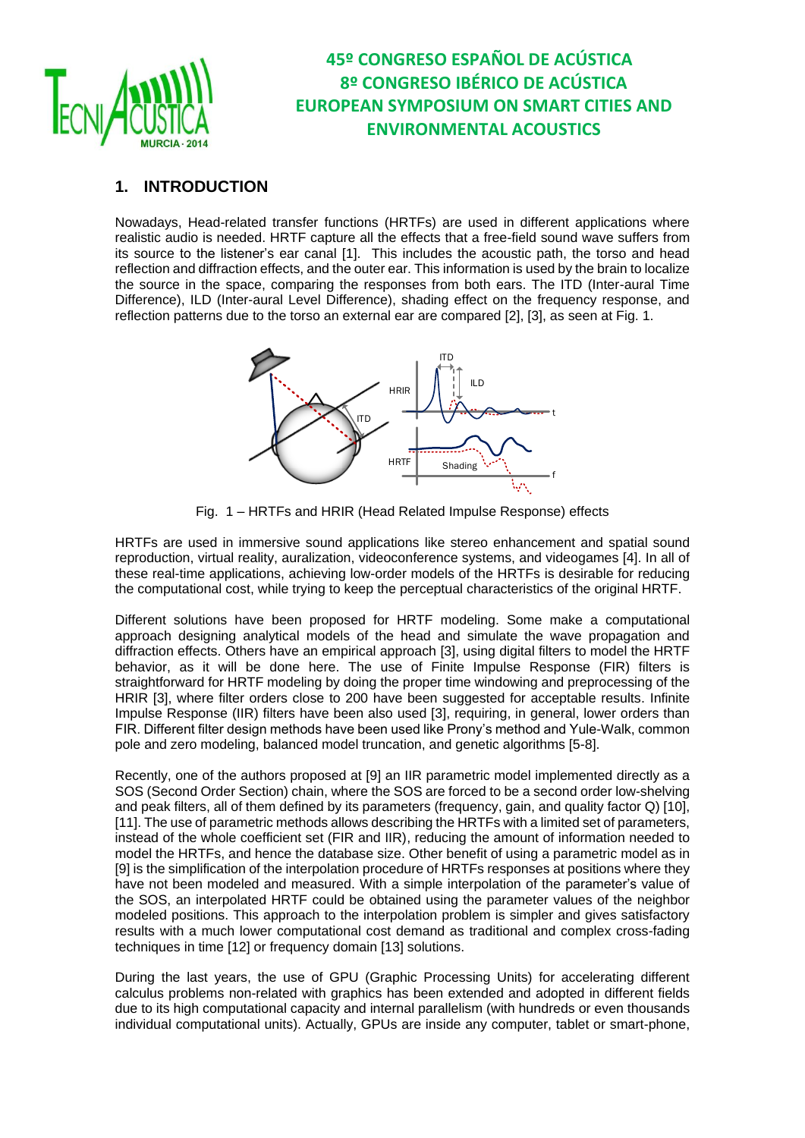

### **1. INTRODUCTION**

Nowadays, Head-related transfer functions (HRTFs) are used in different applications where realistic audio is needed. HRTF capture all the effects that a free-field sound wave suffers from its source to the listener's ear canal [1]. This includes the acoustic path, the torso and head reflection and diffraction effects, and the outer ear. This information is used by the brain to localize the source in the space, comparing the responses from both ears. The ITD (Inter-aural Time Difference), ILD (Inter-aural Level Difference), shading effect on the frequency response, and reflection patterns due to the torso an external ear are compared [2], [3], as seen at Fig. 1.



Fig. 1 – HRTFs and HRIR (Head Related Impulse Response) effects

HRTFs are used in immersive sound applications like stereo enhancement and spatial sound reproduction, virtual reality, auralization, videoconference systems, and videogames [4]. In all of these real-time applications, achieving low-order models of the HRTFs is desirable for reducing the computational cost, while trying to keep the perceptual characteristics of the original HRTF.

Different solutions have been proposed for HRTF modeling. Some make a computational approach designing analytical models of the head and simulate the wave propagation and diffraction effects. Others have an empirical approach [3], using digital filters to model the HRTF behavior, as it will be done here. The use of Finite Impulse Response (FIR) filters is straightforward for HRTF modeling by doing the proper time windowing and preprocessing of the HRIR [3], where filter orders close to 200 have been suggested for acceptable results. Infinite Impulse Response (IIR) filters have been also used [3], requiring, in general, lower orders than FIR. Different filter design methods have been used like Prony's method and Yule-Walk, common pole and zero modeling, balanced model truncation, and genetic algorithms [5-8].

Recently, one of the authors proposed at [9] an IIR parametric model implemented directly as a SOS (Second Order Section) chain, where the SOS are forced to be a second order low-shelving and peak filters, all of them defined by its parameters (frequency, gain, and quality factor Q) [10], [11]. The use of parametric methods allows describing the HRTFs with a limited set of parameters, instead of the whole coefficient set (FIR and IIR), reducing the amount of information needed to model the HRTFs, and hence the database size. Other benefit of using a parametric model as in [9] is the simplification of the interpolation procedure of HRTFs responses at positions where they have not been modeled and measured. With a simple interpolation of the parameter's value of the SOS, an interpolated HRTF could be obtained using the parameter values of the neighbor modeled positions. This approach to the interpolation problem is simpler and gives satisfactory results with a much lower computational cost demand as traditional and complex cross-fading techniques in time [12] or frequency domain [13] solutions.

During the last years, the use of GPU (Graphic Processing Units) for accelerating different calculus problems non-related with graphics has been extended and adopted in different fields due to its high computational capacity and internal parallelism (with hundreds or even thousands individual computational units). Actually, GPUs are inside any computer, tablet or smart-phone,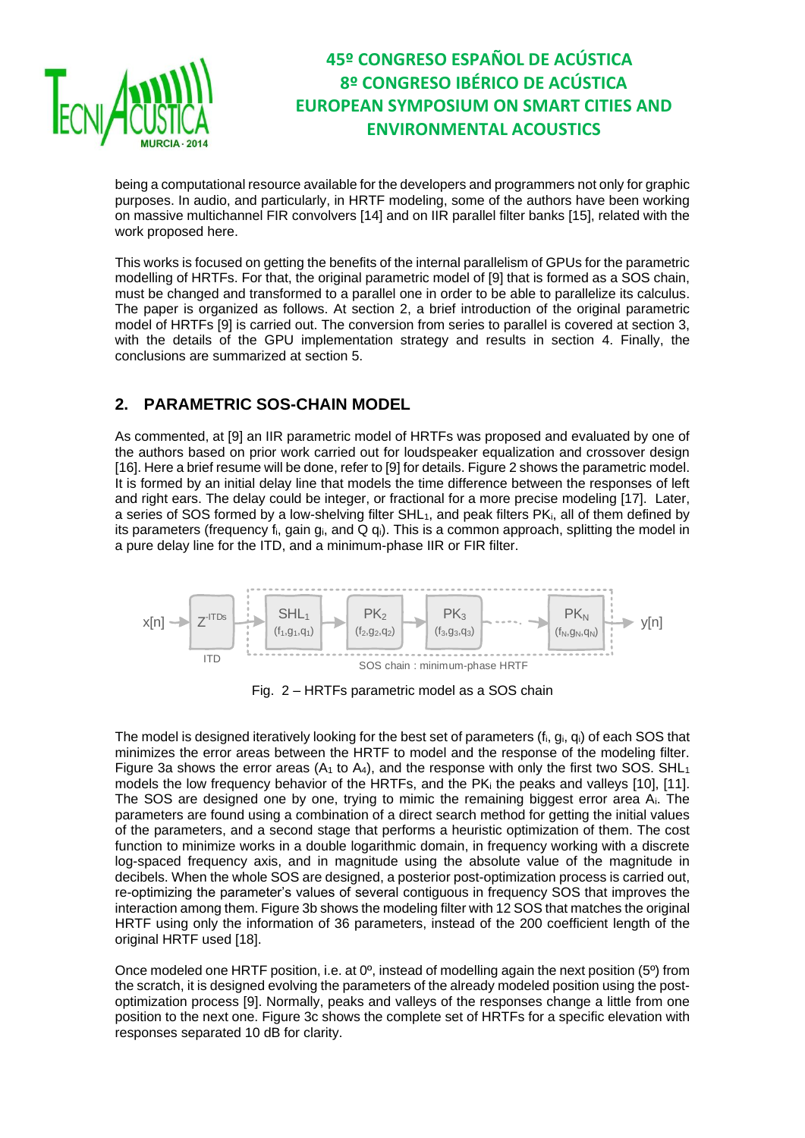

being a computational resource available for the developers and programmers not only for graphic purposes. In audio, and particularly, in HRTF modeling, some of the authors have been working on massive multichannel FIR convolvers [14] and on IIR parallel filter banks [15], related with the work proposed here.

This works is focused on getting the benefits of the internal parallelism of GPUs for the parametric modelling of HRTFs. For that, the original parametric model of [9] that is formed as a SOS chain, must be changed and transformed to a parallel one in order to be able to parallelize its calculus. The paper is organized as follows. At section 2, a brief introduction of the original parametric model of HRTFs [9] is carried out. The conversion from series to parallel is covered at section 3, with the details of the GPU implementation strategy and results in section 4. Finally, the conclusions are summarized at section 5.

### **2. PARAMETRIC SOS-CHAIN MODEL**

As commented, at [9] an IIR parametric model of HRTFs was proposed and evaluated by one of the authors based on prior work carried out for loudspeaker equalization and crossover design [16]. Here a brief resume will be done, refer to [9] for details. Figure 2 shows the parametric model. It is formed by an initial delay line that models the time difference between the responses of left and right ears. The delay could be integer, or fractional for a more precise modeling [17]. Later, a series of SOS formed by a low-shelving filter SHL<sub>1</sub>, and peak filters PK<sub>i</sub>, all of them defined by its parameters (frequency  $f_i$ , gain  $g_i$ , and Q  $g_i$ ). This is a common approach, splitting the model in a pure delay line for the ITD, and a minimum-phase IIR or FIR filter.



Fig. 2 – HRTFs parametric model as a SOS chain

The model is designed iteratively looking for the best set of parameters  $(f_i, g_i, g_j)$  of each SOS that minimizes the error areas between the HRTF to model and the response of the modeling filter. Figure 3a shows the error areas ( $A_1$  to  $A_4$ ), and the response with only the first two SOS. SHL<sub>1</sub> models the low frequency behavior of the HRTFs, and the PK<sup>i</sup> the peaks and valleys [10], [11]. The SOS are designed one by one, trying to mimic the remaining biggest error area Ai. The parameters are found using a combination of a direct search method for getting the initial values of the parameters, and a second stage that performs a heuristic optimization of them. The cost function to minimize works in a double logarithmic domain, in frequency working with a discrete log-spaced frequency axis, and in magnitude using the absolute value of the magnitude in decibels. When the whole SOS are designed, a posterior post-optimization process is carried out, re-optimizing the parameter's values of several contiguous in frequency SOS that improves the interaction among them. Figure 3b shows the modeling filter with 12 SOS that matches the original HRTF using only the information of 36 parameters, instead of the 200 coefficient length of the original HRTF used [18].

Once modeled one HRTF position, i.e. at 0º, instead of modelling again the next position (5º) from the scratch, it is designed evolving the parameters of the already modeled position using the postoptimization process [9]. Normally, peaks and valleys of the responses change a little from one position to the next one. Figure 3c shows the complete set of HRTFs for a specific elevation with responses separated 10 dB for clarity.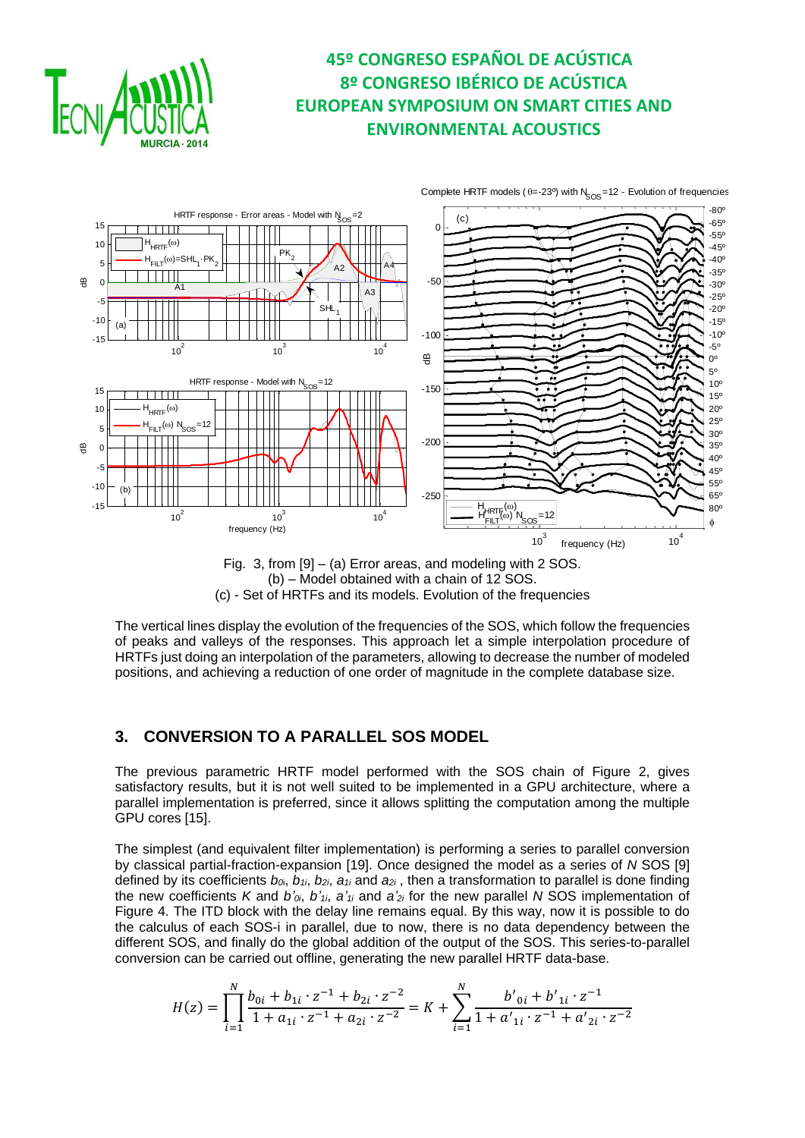



Fig. 3, from [9] – (a) Error areas, and modeling with 2 SOS. (b) – Model obtained with a chain of 12 SOS. (c) - Set of HRTFs and its models. Evolution of the frequencies

The vertical lines display the evolution of the frequencies of the SOS, which follow the frequencies of peaks and valleys of the responses. This approach let a simple interpolation procedure of HRTFs just doing an interpolation of the parameters, allowing to decrease the number of modeled positions, and achieving a reduction of one order of magnitude in the complete database size.

### **3. CONVERSION TO A PARALLEL SOS MODEL**

The previous parametric HRTF model performed with the SOS chain of Figure 2, gives satisfactory results, but it is not well suited to be implemented in a GPU architecture, where a parallel implementation is preferred, since it allows splitting the computation among the multiple GPU cores [15].

The simplest (and equivalent filter implementation) is performing a series to parallel conversion by classical partial-fraction-expansion [19]. Once designed the model as a series of *N* SOS [9] defined by its coefficients  $b_{\alpha}$ ,  $b_{1i}$ ,  $b_{2i}$ ,  $a_{1i}$  and  $a_{2i}$ , then a transformation to parallel is done finding the new coefficients *K* and  $b'$ <sub>*0i*</sub>,  $b'$ <sub>*1i*</sub>,  $a'$ <sub>*1i*</sub> and  $a'$ <sub>2*i*</sub> for the new parallel *N* SOS implementation of Figure 4. The ITD block with the delay line remains equal. By this way, now it is possible to do the calculus of each SOS-i in parallel, due to now, there is no data dependency between the different SOS, and finally do the global addition of the output of the SOS. This series-to-parallel conversion can be carried out offline, generating the new parallel HRTF data-base.

$$
H(z)=\prod_{i=1}^N \frac{b_{0i}+b_{1i}\cdot z^{-1}+b_{2i}\cdot z^{-2}}{1+a_{1i}\cdot z^{-1}+a_{2i}\cdot z^{-2}}=K+\sum_{i=1}^N \frac{b'_{0i}+b'_{1i}\cdot z^{-1}}{1+a'_{1i}\cdot z^{-1}+a'_{2i}\cdot z^{-2}}
$$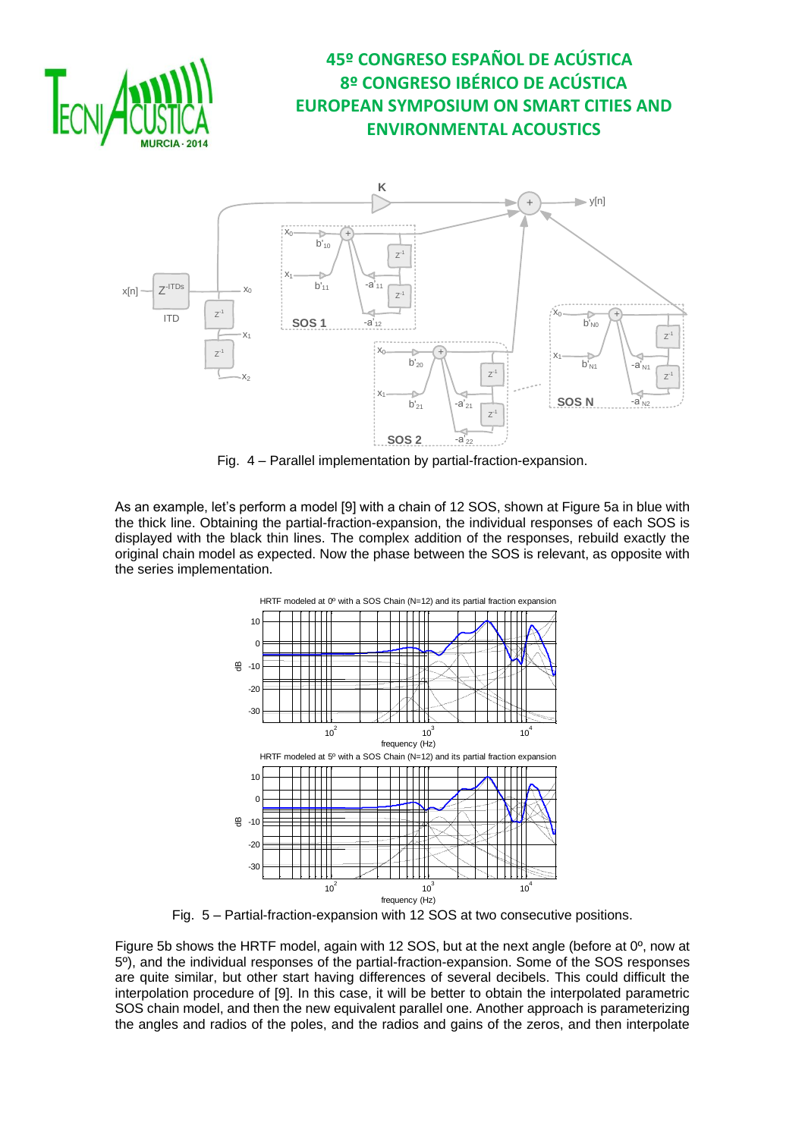



Fig. 4 – Parallel implementation by partial-fraction-expansion.

As an example, let's perform a model [9] with a chain of 12 SOS, shown at Figure 5a in blue with the thick line. Obtaining the partial-fraction-expansion, the individual responses of each SOS is displayed with the black thin lines. The complex addition of the responses, rebuild exactly the original chain model as expected. Now the phase between the SOS is relevant, as opposite with the series implementation.



Fig. 5 – Partial-fraction-expansion with 12 SOS at two consecutive positions.

Figure 5b shows the HRTF model, again with 12 SOS, but at the next angle (before at 0º, now at 5º), and the individual responses of the partial-fraction-expansion. Some of the SOS responses are quite similar, but other start having differences of several decibels. This could difficult the interpolation procedure of [9]. In this case, it will be better to obtain the interpolated parametric SOS chain model, and then the new equivalent parallel one. Another approach is parameterizing the angles and radios of the poles, and the radios and gains of the zeros, and then interpolate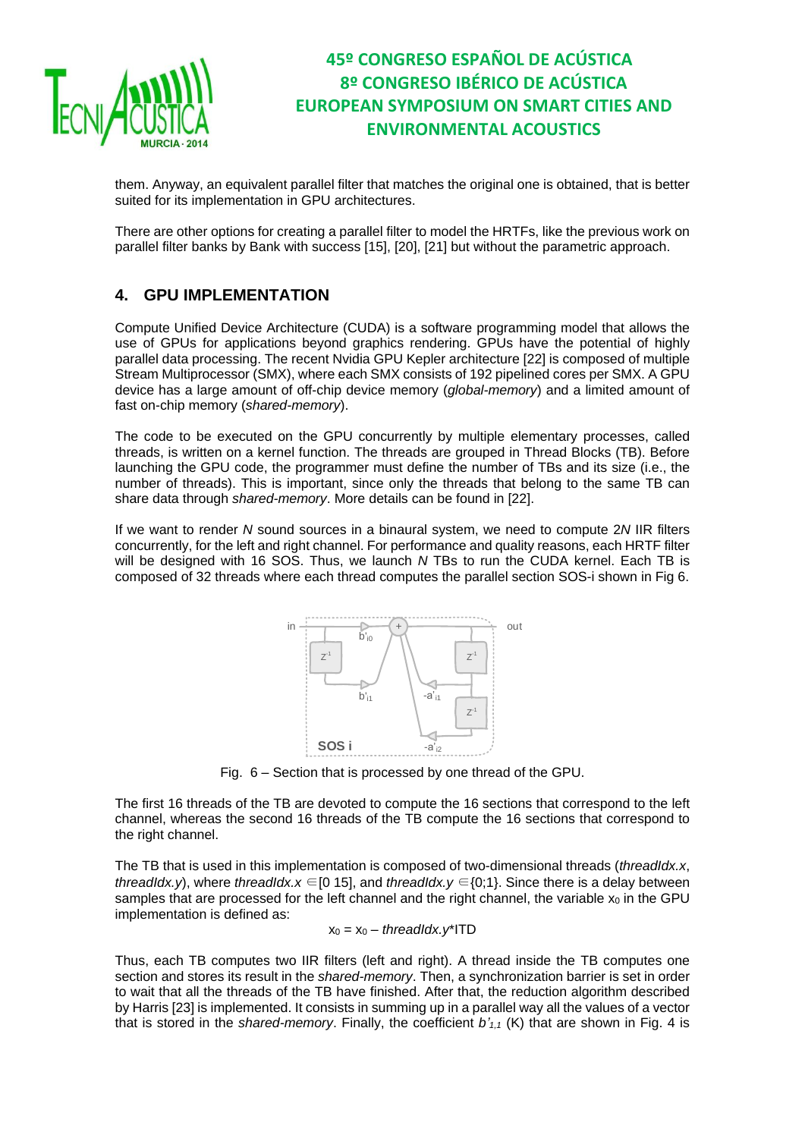

them. Anyway, an equivalent parallel filter that matches the original one is obtained, that is better suited for its implementation in GPU architectures.

There are other options for creating a parallel filter to model the HRTFs, like the previous work on parallel filter banks by Bank with success [15], [20], [21] but without the parametric approach.

### **4. GPU IMPLEMENTATION**

Compute Unified Device Architecture (CUDA) is a software programming model that allows the use of GPUs for applications beyond graphics rendering. GPUs have the potential of highly parallel data processing. The recent Nvidia GPU Kepler architecture [22] is composed of multiple Stream Multiprocessor (SMX), where each SMX consists of 192 pipelined cores per SMX. A GPU device has a large amount of off-chip device memory (*global-memory*) and a limited amount of fast on-chip memory (*shared-memory*).

The code to be executed on the GPU concurrently by multiple elementary processes, called threads, is written on a kernel function. The threads are grouped in Thread Blocks (TB). Before launching the GPU code, the programmer must define the number of TBs and its size (i.e., the number of threads). This is important, since only the threads that belong to the same TB can share data through *shared-memory*. More details can be found in [22].

If we want to render *N* sound sources in a binaural system, we need to compute 2*N* IIR filters concurrently, for the left and right channel. For performance and quality reasons, each HRTF filter will be designed with 16 SOS. Thus, we launch *N* TBs to run the CUDA kernel. Each TB is composed of 32 threads where each thread computes the parallel section SOS-i shown in Fig 6.



Fig. 6 – Section that is processed by one thread of the GPU.

The first 16 threads of the TB are devoted to compute the 16 sections that correspond to the left channel, whereas the second 16 threads of the TB compute the 16 sections that correspond to the right channel.

The TB that is used in this implementation is composed of two-dimensional threads (*threadIdx.x*, *threadIdx.y*), where *threadIdx.x* ∈[0 15], and *threadIdx.y* ∈{0;1}. Since there is a delay between samples that are processed for the left channel and the right channel, the variable  $x_0$  in the GPU implementation is defined as:

$$
x_0 = x_0 - \text{threadIdx}.y^* \text{ITD}
$$

Thus, each TB computes two IIR filters (left and right). A thread inside the TB computes one section and stores its result in the *shared-memory*. Then, a synchronization barrier is set in order to wait that all the threads of the TB have finished. After that, the reduction algorithm described by Harris [23] is implemented. It consists in summing up in a parallel way all the values of a vector that is stored in the *shared-memory*. Finally, the coefficient *b'1,1* (K) that are shown in Fig. 4 is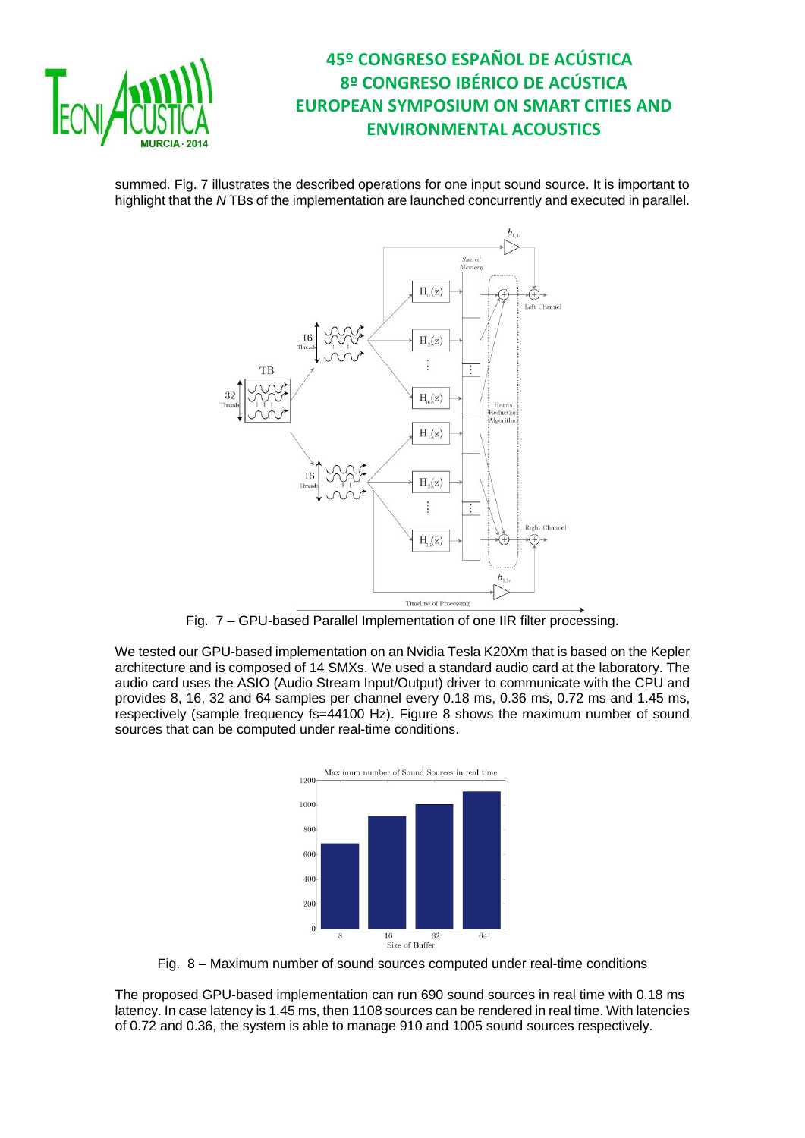

summed. Fig. 7 illustrates the described operations for one input sound source. It is important to highlight that the *N* TBs of the implementation are launched concurrently and executed in parallel.



Fig. 7 – GPU-based Parallel Implementation of one IIR filter processing.

We tested our GPU-based implementation on an Nvidia Tesla K20Xm that is based on the Kepler architecture and is composed of 14 SMXs. We used a standard audio card at the laboratory. The audio card uses the ASIO (Audio Stream Input/Output) driver to communicate with the CPU and provides 8, 16, 32 and 64 samples per channel every 0.18 ms, 0.36 ms, 0.72 ms and 1.45 ms, respectively (sample frequency fs=44100 Hz). Figure 8 shows the maximum number of sound sources that can be computed under real-time conditions.



Fig. 8 – Maximum number of sound sources computed under real-time conditions

The proposed GPU-based implementation can run 690 sound sources in real time with 0.18 ms latency. In case latency is 1.45 ms, then 1108 sources can be rendered in real time. With latencies of 0.72 and 0.36, the system is able to manage 910 and 1005 sound sources respectively.